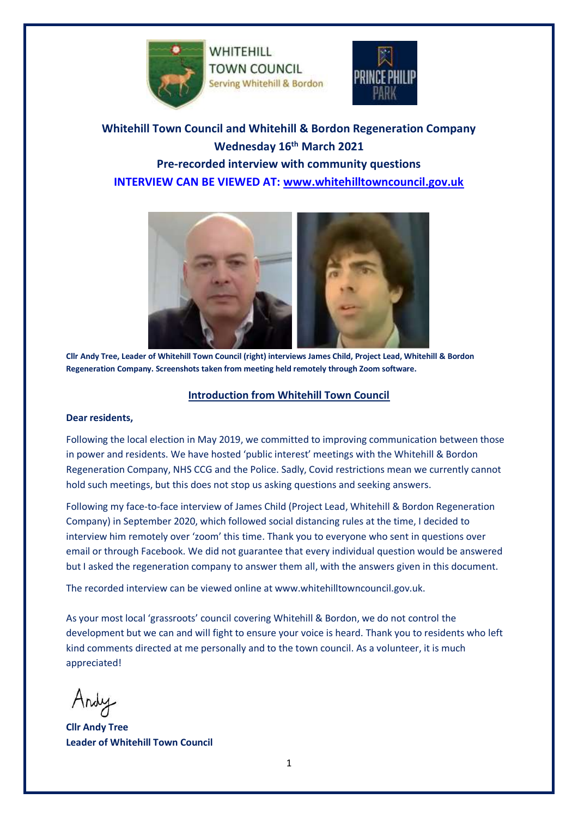

WHITEHILL **TOWN COUNCIL** Serving Whitehill & Bordon



**Whitehill Town Council and Whitehill & Bordon Regeneration Company Wednesday 16th March 2021 Pre-recorded interview with community questions INTERVIEW CAN BE VIEWED AT: [www.whitehilltowncouncil.gov.uk](file:///C:/Users/WTC/Desktop/www.whitehilltowncouncil.gov.uk)**



**[Cllr Andy Tree, Leader of Whitehill Town Council \(right\) interviews James Child, Project Lead, Whitehill & Bordon](https://youtu.be/njsj6_VUZjg)  [Regeneration Company.](https://youtu.be/njsj6_VUZjg) Screenshots taken from meeting held remotely through Zoom software.**

# **Introduction from Whitehill Town Council**

#### **Dear residents,**

Following the local election in May 2019, we committed to improving communication between those in power and residents. We have hosted 'public interest' meetings with the Whitehill & Bordon Regeneration Company, NHS CCG and the Police. Sadly, Covid restrictions mean we currently cannot hold such meetings, but this does not stop us asking questions and seeking answers.

Following my face-to-face interview of James Child (Project Lead, Whitehill & Bordon Regeneration Company) in September 2020, which followed social distancing rules at the time, I decided to interview him remotely over 'zoom' this time. Thank you to everyone who sent in questions over email or through Facebook. We did not guarantee that every individual question would be answered but I asked the regeneration company to answer them all, with the answers given in this document.

The recorded interview can be viewed online at www.whitehilltowncouncil.gov.uk.

As your most local 'grassroots' council covering Whitehill & Bordon, we do not control the development but we can and will fight to ensure your voice is heard. Thank you to residents who left kind comments directed at me personally and to the town council. As a volunteer, it is much appreciated!

**Cllr Andy Tree Leader of Whitehill Town Council**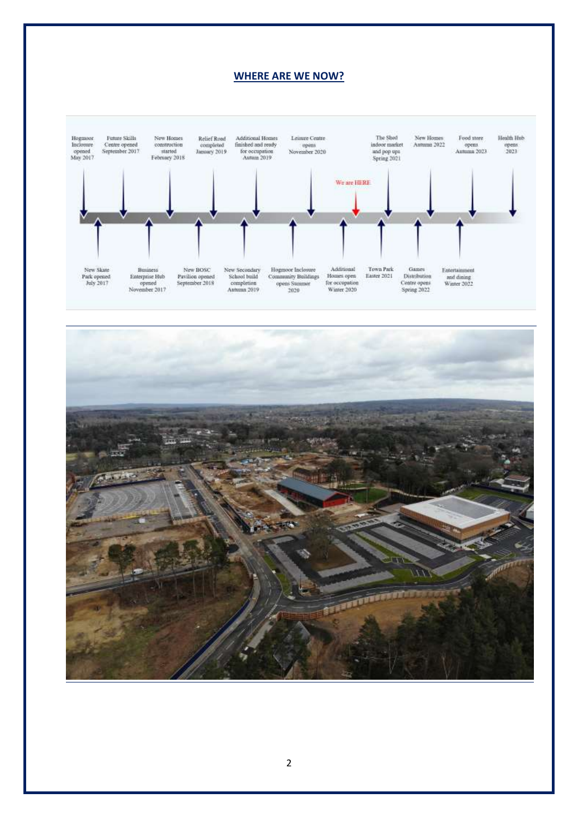#### **WHERE ARE WE NOW?**



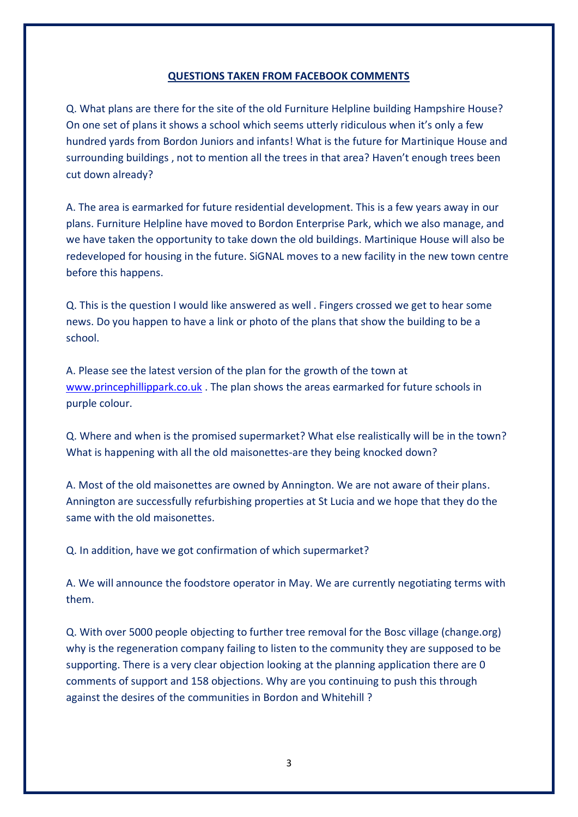## **QUESTIONS TAKEN FROM FACEBOOK COMMENTS**

Q. What plans are there for the site of the old Furniture Helpline building Hampshire House? On one set of plans it shows a school which seems utterly ridiculous when it's only a few hundred yards from Bordon Juniors and infants! What is the future for Martinique House and surrounding buildings , not to mention all the trees in that area? Haven't enough trees been cut down already?

A. The area is earmarked for future residential development. This is a few years away in our plans. Furniture Helpline have moved to Bordon Enterprise Park, which we also manage, and we have taken the opportunity to take down the old buildings. Martinique House will also be redeveloped for housing in the future. SiGNAL moves to a new facility in the new town centre before this happens.

Q. This is the question I would like answered as well . Fingers crossed we get to hear some news. Do you happen to have a link or photo of the plans that show the building to be a school.

A. Please see the latest version of the plan for the growth of the town at [www.princephillippark.co.uk](http://www.princephillippark.co.uk/) . The plan shows the areas earmarked for future schools in purple colour.

Q. Where and when is the promised supermarket? What else realistically will be in the town? What is happening with all the old maisonettes-are they being knocked down?

A. Most of the old maisonettes are owned by Annington. We are not aware of their plans. Annington are successfully refurbishing properties at St Lucia and we hope that they do the same with the old maisonettes.

Q. In addition, have we got confirmation of which supermarket?

A. We will announce the foodstore operator in May. We are currently negotiating terms with them.

Q. With over 5000 people objecting to further tree removal for the Bosc village (change.org) why is the regeneration company failing to listen to the community they are supposed to be supporting. There is a very clear objection looking at the planning application there are 0 comments of support and 158 objections. Why are you continuing to push this through against the desires of the communities in Bordon and Whitehill ?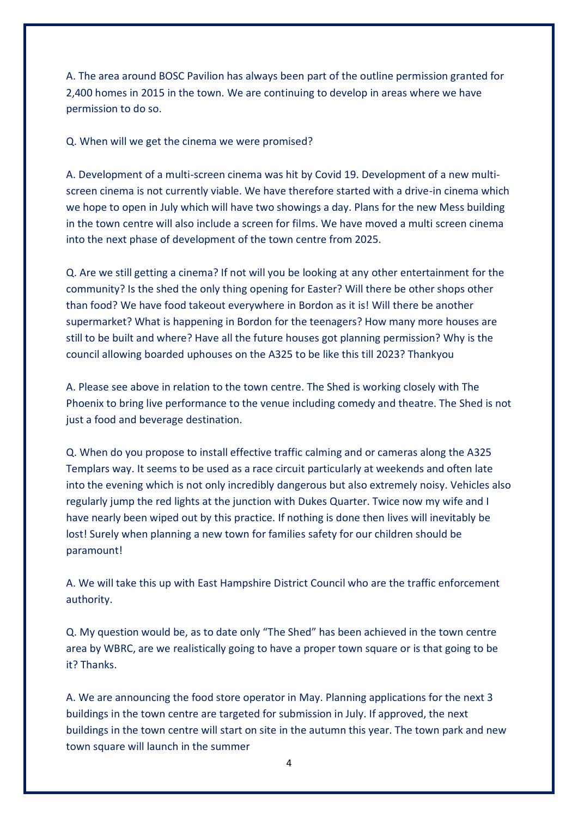A. The area around BOSC Pavilion has always been part of the outline permission granted for 2,400 homes in 2015 in the town. We are continuing to develop in areas where we have permission to do so.

Q. When will we get the cinema we were promised?

A. Development of a multi-screen cinema was hit by Covid 19. Development of a new multiscreen cinema is not currently viable. We have therefore started with a drive-in cinema which we hope to open in July which will have two showings a day. Plans for the new Mess building in the town centre will also include a screen for films. We have moved a multi screen cinema into the next phase of development of the town centre from 2025.

Q. Are we still getting a cinema? If not will you be looking at any other entertainment for the community? Is the shed the only thing opening for Easter? Will there be other shops other than food? We have food takeout everywhere in Bordon as it is! Will there be another supermarket? What is happening in Bordon for the teenagers? How many more houses are still to be built and where? Have all the future houses got planning permission? Why is the council allowing boarded uphouses on the A325 to be like this till 2023? Thankyou

A. Please see above in relation to the town centre. The Shed is working closely with The Phoenix to bring live performance to the venue including comedy and theatre. The Shed is not just a food and beverage destination.

Q. When do you propose to install effective traffic calming and or cameras along the A325 Templars way. It seems to be used as a race circuit particularly at weekends and often late into the evening which is not only incredibly dangerous but also extremely noisy. Vehicles also regularly jump the red lights at the junction with Dukes Quarter. Twice now my wife and I have nearly been wiped out by this practice. If nothing is done then lives will inevitably be lost! Surely when planning a new town for families safety for our children should be paramount!

A. We will take this up with East Hampshire District Council who are the traffic enforcement authority.

Q. My question would be, as to date only "The Shed" has been achieved in the town centre area by WBRC, are we realistically going to have a proper town square or is that going to be it? Thanks.

A. We are announcing the food store operator in May. Planning applications for the next 3 buildings in the town centre are targeted for submission in July. If approved, the next buildings in the town centre will start on site in the autumn this year. The town park and new town square will launch in the summer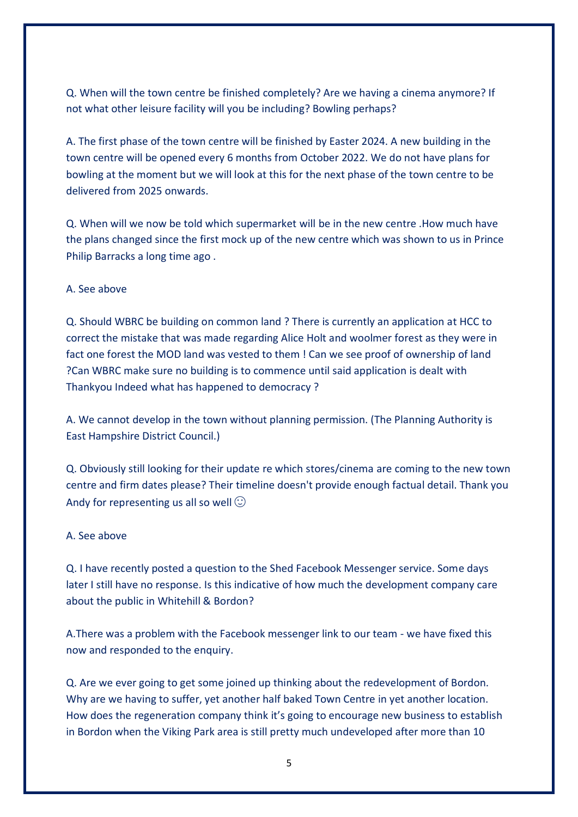Q. When will the town centre be finished completely? Are we having a cinema anymore? If not what other leisure facility will you be including? Bowling perhaps?

A. The first phase of the town centre will be finished by Easter 2024. A new building in the town centre will be opened every 6 months from October 2022. We do not have plans for bowling at the moment but we will look at this for the next phase of the town centre to be delivered from 2025 onwards.

Q. When will we now be told which supermarket will be in the new centre .How much have the plans changed since the first mock up of the new centre which was shown to us in Prince Philip Barracks a long time ago .

# A. See above

Q. Should WBRC be building on common land ? There is currently an application at HCC to correct the mistake that was made regarding Alice Holt and woolmer forest as they were in fact one forest the MOD land was vested to them ! Can we see proof of ownership of land ?Can WBRC make sure no building is to commence until said application is dealt with Thankyou Indeed what has happened to democracy ?

A. We cannot develop in the town without planning permission. (The Planning Authority is East Hampshire District Council.)

Q. Obviously still looking for their update re which stores/cinema are coming to the new town centre and firm dates please? Their timeline doesn't provide enough factual detail. Thank you Andy for representing us all so well  $\odot$ 

#### A. See above

Q. I have recently posted a question to the Shed Facebook Messenger service. Some days later I still have no response. Is this indicative of how much the development company care about the public in Whitehill & Bordon?

A.There was a problem with the Facebook messenger link to our team - we have fixed this now and responded to the enquiry.

Q. Are we ever going to get some joined up thinking about the redevelopment of Bordon. Why are we having to suffer, yet another half baked Town Centre in yet another location. How does the regeneration company think it's going to encourage new business to establish in Bordon when the Viking Park area is still pretty much undeveloped after more than 10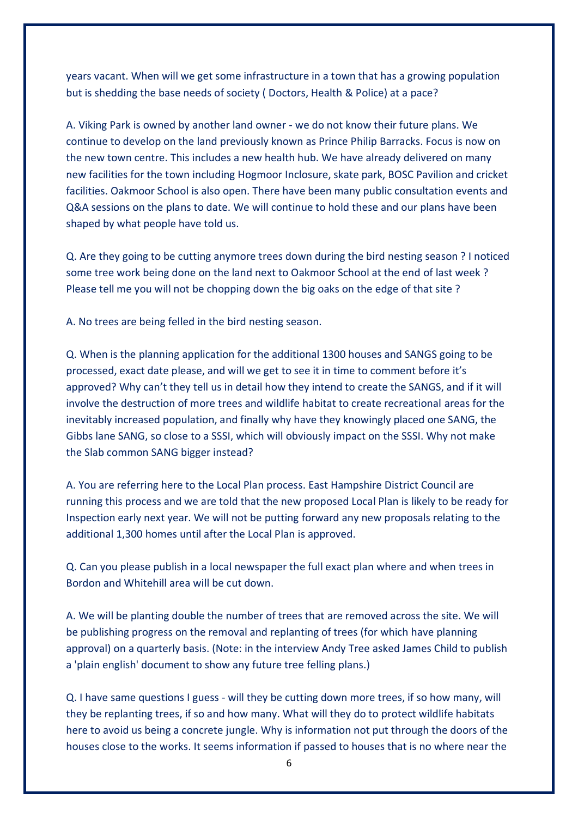years vacant. When will we get some infrastructure in a town that has a growing population but is shedding the base needs of society ( Doctors, Health & Police) at a pace?

A. Viking Park is owned by another land owner - we do not know their future plans. We continue to develop on the land previously known as Prince Philip Barracks. Focus is now on the new town centre. This includes a new health hub. We have already delivered on many new facilities for the town including Hogmoor Inclosure, skate park, BOSC Pavilion and cricket facilities. Oakmoor School is also open. There have been many public consultation events and Q&A sessions on the plans to date. We will continue to hold these and our plans have been shaped by what people have told us.

Q. Are they going to be cutting anymore trees down during the bird nesting season ? I noticed some tree work being done on the land next to Oakmoor School at the end of last week ? Please tell me you will not be chopping down the big oaks on the edge of that site ?

A. No trees are being felled in the bird nesting season.

Q. When is the planning application for the additional 1300 houses and SANGS going to be processed, exact date please, and will we get to see it in time to comment before it's approved? Why can't they tell us in detail how they intend to create the SANGS, and if it will involve the destruction of more trees and wildlife habitat to create recreational areas for the inevitably increased population, and finally why have they knowingly placed one SANG, the Gibbs lane SANG, so close to a SSSI, which will obviously impact on the SSSI. Why not make the Slab common SANG bigger instead?

A. You are referring here to the Local Plan process. East Hampshire District Council are running this process and we are told that the new proposed Local Plan is likely to be ready for Inspection early next year. We will not be putting forward any new proposals relating to the additional 1,300 homes until after the Local Plan is approved.

Q. Can you please publish in a local newspaper the full exact plan where and when trees in Bordon and Whitehill area will be cut down.

A. We will be planting double the number of trees that are removed across the site. We will be publishing progress on the removal and replanting of trees (for which have planning approval) on a quarterly basis. (Note: in the interview Andy Tree asked James Child to publish a 'plain english' document to show any future tree felling plans.)

Q. I have same questions I guess - will they be cutting down more trees, if so how many, will they be replanting trees, if so and how many. What will they do to protect wildlife habitats here to avoid us being a concrete jungle. Why is information not put through the doors of the houses close to the works. It seems information if passed to houses that is no where near the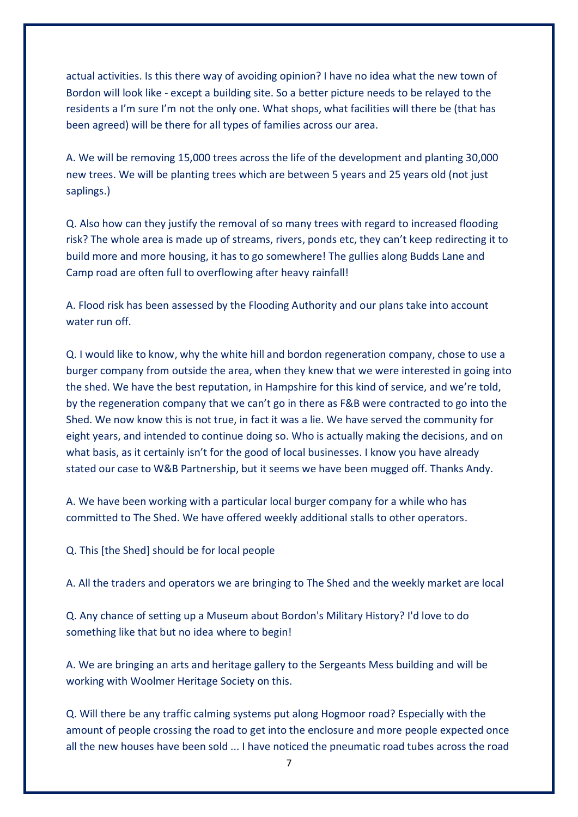actual activities. Is this there way of avoiding opinion? I have no idea what the new town of Bordon will look like - except a building site. So a better picture needs to be relayed to the residents a I'm sure I'm not the only one. What shops, what facilities will there be (that has been agreed) will be there for all types of families across our area.

A. We will be removing 15,000 trees across the life of the development and planting 30,000 new trees. We will be planting trees which are between 5 years and 25 years old (not just saplings.)

Q. Also how can they justify the removal of so many trees with regard to increased flooding risk? The whole area is made up of streams, rivers, ponds etc, they can't keep redirecting it to build more and more housing, it has to go somewhere! The gullies along Budds Lane and Camp road are often full to overflowing after heavy rainfall!

A. Flood risk has been assessed by the Flooding Authority and our plans take into account water run off.

Q. I would like to know, why the white hill and bordon regeneration company, chose to use a burger company from outside the area, when they knew that we were interested in going into the shed. We have the best reputation, in Hampshire for this kind of service, and we're told, by the regeneration company that we can't go in there as F&B were contracted to go into the Shed. We now know this is not true, in fact it was a lie. We have served the community for eight years, and intended to continue doing so. Who is actually making the decisions, and on what basis, as it certainly isn't for the good of local businesses. I know you have already stated our case to W&B Partnership, but it seems we have been mugged off. Thanks Andy.

A. We have been working with a particular local burger company for a while who has committed to The Shed. We have offered weekly additional stalls to other operators.

Q. This [the Shed] should be for local people

A. All the traders and operators we are bringing to The Shed and the weekly market are local

Q. Any chance of setting up a Museum about Bordon's Military History? I'd love to do something like that but no idea where to begin!

A. We are bringing an arts and heritage gallery to the Sergeants Mess building and will be working with Woolmer Heritage Society on this.

Q. Will there be any traffic calming systems put along Hogmoor road? Especially with the amount of people crossing the road to get into the enclosure and more people expected once all the new houses have been sold ... I have noticed the pneumatic road tubes across the road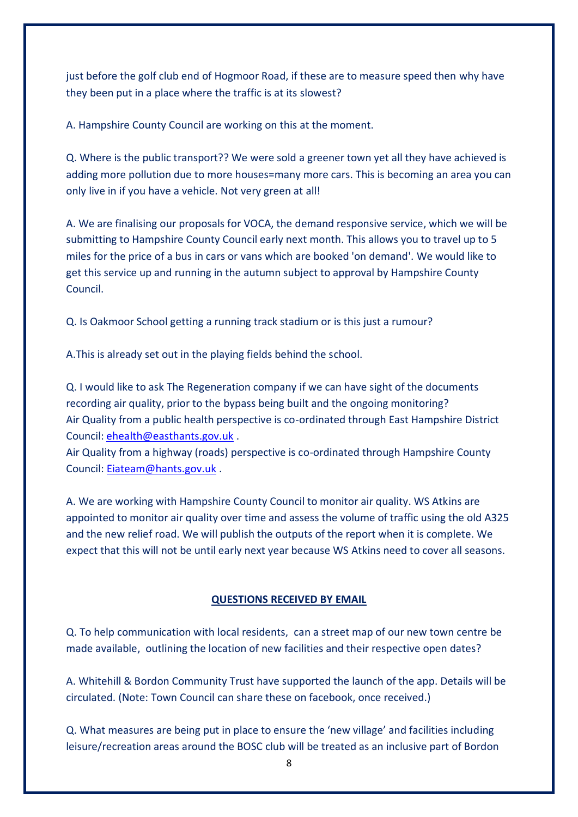just before the golf club end of Hogmoor Road, if these are to measure speed then why have they been put in a place where the traffic is at its slowest?

A. Hampshire County Council are working on this at the moment.

Q. Where is the public transport?? We were sold a greener town yet all they have achieved is adding more pollution due to more houses=many more cars. This is becoming an area you can only live in if you have a vehicle. Not very green at all!

A. We are finalising our proposals for VOCA, the demand responsive service, which we will be submitting to Hampshire County Council early next month. This allows you to travel up to 5 miles for the price of a bus in cars or vans which are booked 'on demand'. We would like to get this service up and running in the autumn subject to approval by Hampshire County Council.

Q. Is Oakmoor School getting a running track stadium or is this just a rumour?

A.This is already set out in the playing fields behind the school.

Q. I would like to ask The Regeneration company if we can have sight of the documents recording air quality, prior to the bypass being built and the ongoing monitoring? Air Quality from a public health perspective is co-ordinated through East Hampshire District Council: [ehealth@easthants.gov.uk](mailto:ehealth@easthants.gov.uk) .

Air Quality from a highway (roads) perspective is co-ordinated through Hampshire County Council: [Eiateam@hants.gov.uk](mailto:Eiateam@hants.gov.uk) .

A. We are working with Hampshire County Council to monitor air quality. WS Atkins are appointed to monitor air quality over time and assess the volume of traffic using the old A325 and the new relief road. We will publish the outputs of the report when it is complete. We expect that this will not be until early next year because WS Atkins need to cover all seasons.

# **QUESTIONS RECEIVED BY EMAIL**

Q. To help communication with local residents, can a street map of our new town centre be made available, outlining the location of new facilities and their respective open dates?

A. Whitehill & Bordon Community Trust have supported the launch of the app. Details will be circulated. (Note: Town Council can share these on facebook, once received.)

Q. What measures are being put in place to ensure the 'new village' and facilities including leisure/recreation areas around the BOSC club will be treated as an inclusive part of Bordon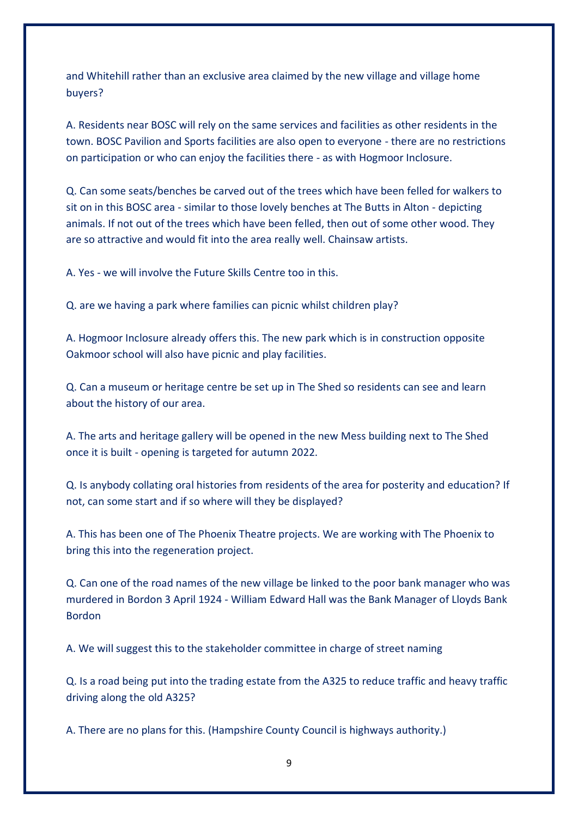and Whitehill rather than an exclusive area claimed by the new village and village home buyers?

A. Residents near BOSC will rely on the same services and facilities as other residents in the town. BOSC Pavilion and Sports facilities are also open to everyone - there are no restrictions on participation or who can enjoy the facilities there - as with Hogmoor Inclosure.

Q. Can some seats/benches be carved out of the trees which have been felled for walkers to sit on in this BOSC area - similar to those lovely benches at The Butts in Alton - depicting animals. If not out of the trees which have been felled, then out of some other wood. They are so attractive and would fit into the area really well. Chainsaw artists.

A. Yes - we will involve the Future Skills Centre too in this.

Q. are we having a park where families can picnic whilst children play?

A. Hogmoor Inclosure already offers this. The new park which is in construction opposite Oakmoor school will also have picnic and play facilities.

Q. Can a museum or heritage centre be set up in The Shed so residents can see and learn about the history of our area.

A. The arts and heritage gallery will be opened in the new Mess building next to The Shed once it is built - opening is targeted for autumn 2022.

Q. Is anybody collating oral histories from residents of the area for posterity and education? If not, can some start and if so where will they be displayed?

A. This has been one of The Phoenix Theatre projects. We are working with The Phoenix to bring this into the regeneration project.

Q. Can one of the road names of the new village be linked to the poor bank manager who was murdered in Bordon 3 April 1924 - William Edward Hall was the Bank Manager of Lloyds Bank Bordon

A. We will suggest this to the stakeholder committee in charge of street naming

Q. Is a road being put into the trading estate from the A325 to reduce traffic and heavy traffic driving along the old A325?

A. There are no plans for this. (Hampshire County Council is highways authority.)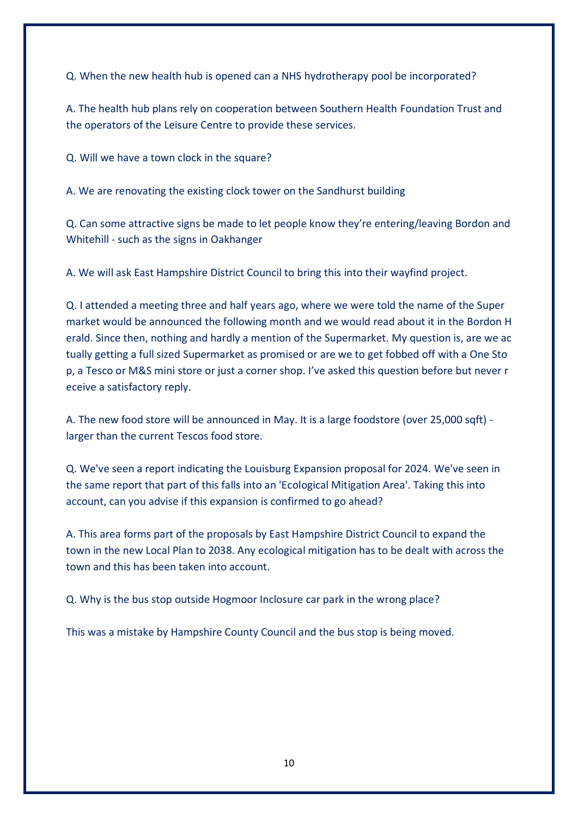Q. When the new health hub is opened can a NHS hydrotherapy pool be incorporated?

A. The health hub plans rely on cooperation between Southern Health Foundation Trust and the operators of the Leisure Centre to provide these services.

Q. Will we have a town clock in the square?

A. We are renovating the existing clock tower on the Sandhurst building

Q. Can some attractive signs be made to let people know they're entering/leaving Bordon and Whitehill - such as the signs in Oakhanger

A. We will ask East Hampshire District Council to bring this into their wayfind project.

Q. I attended a meeting three and half years ago, where we were told the name of the Super market would be announced the following month and we would read about it in the Bordon H erald. Since then, nothing and hardly a mention of the Supermarket. My question is, are we ac tually getting a full sized Supermarket as promised or are we to get fobbed off with a One Sto p, a Tesco or M&S mini store or just a corner shop. I've asked this question before but never r eceive a satisfactory reply.

A. The new food store will be announced in May. It is a large foodstore (over 25,000 sqft) larger than the current Tescos food store.

Q. We've seen a report indicating the Louisburg Expansion proposal for 2024. We've seen in the same report that part of this falls into an 'Ecological Mitigation Area'. Taking this into account, can you advise if this expansion is confirmed to go ahead?

A. This area forms part of the proposals by East Hampshire District Council to expand the town in the new Local Plan to 2038. Any ecological mitigation has to be dealt with across the town and this has been taken into account.

Q. Why is the bus stop outside Hogmoor Inclosure car park in the wrong place?

This was a mistake by Hampshire County Council and the bus stop is being moved.